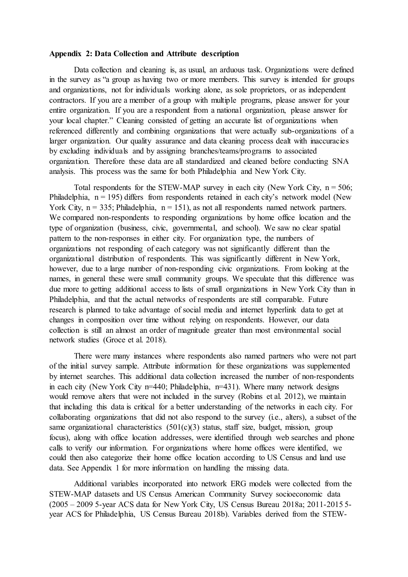## **Appendix 2: Data Collection and Attribute description**

Data collection and cleaning is, as usual, an arduous task. Organizations were defined in the survey as "a group as having two or more members. This survey is intended for groups and organizations, not for individuals working alone, as sole proprietors, or as independent contractors. If you are a member of a group with multiple programs, please answer for your entire organization. If you are a respondent from a national organization, please answer for your local chapter." Cleaning consisted of getting an accurate list of organizations when referenced differently and combining organizations that were actually sub-organizations of a larger organization. Our quality assurance and data cleaning process dealt with inaccuracies by excluding individuals and by assigning branches/teams/programs to associated organization. Therefore these data are all standardized and cleaned before conducting SNA analysis. This process was the same for both Philadelphia and New York City.

Total respondents for the STEW-MAP survey in each city (New York City,  $n = 506$ ; Philadelphia,  $n = 195$ ) differs from respondents retained in each city's network model (New York City,  $n = 335$ ; Philadelphia,  $n = 151$ ), as not all respondents named network partners. We compared non-respondents to responding organizations by home office location and the type of organization (business, civic, governmental, and school). We saw no clear spatial pattern to the non-responses in either city. For organization type, the numbers of organizations not responding of each category was not significantly different than the organizational distribution of respondents. This was significantly different in New York, however, due to a large number of non-responding civic organizations. From looking at the names, in general these were small community groups. We speculate that this difference was due more to getting additional access to lists of small organizations in New York City than in Philadelphia, and that the actual networks of respondents are still comparable. Future research is planned to take advantage of social media and internet hyperlink data to get at changes in composition over time without relying on respondents. However, our data collection is still an almost an order of magnitude greater than most environmental social network studies (Groce et al. 2018).

There were many instances where respondents also named partners who were not part of the initial survey sample. Attribute information for these organizations was supplemented by internet searches. This additional data collection increased the number of non-respondents in each city (New York City n=440; Philadelphia, n=431). Where many network designs would remove alters that were not included in the survey (Robins et al. 2012), we maintain that including this data is critical for a better understanding of the networks in each city. For collaborating organizations that did not also respond to the survey (i.e., alters), a subset of the same organizational characteristics  $(501(c)(3)$  status, staff size, budget, mission, group focus), along with office location addresses, were identified through web searches and phone calls to verify our information. For organizations where home offices were identified, we could then also categorize their home office location according to US Census and land use data. See Appendix 1 for more information on handling the missing data.

Additional variables incorporated into network ERG models were collected from the STEW-MAP datasets and US Census American Community Survey socioeconomic data (2005 – 2009 5-year ACS data for New York City, US Census Bureau 2018a; 2011-2015 5 year ACS for Philadelphia, US Census Bureau 2018b). Variables derived from the STEW-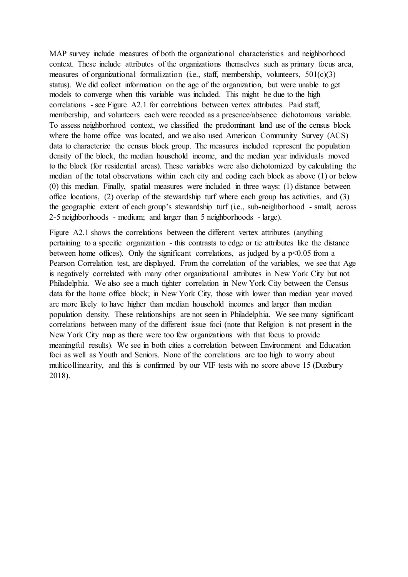MAP survey include measures of both the organizational characteristics and neighborhood context. These include attributes of the organizations themselves such as primary focus area, measures of organizational formalization (i.e., staff, membership, volunteers,  $501(c)(3)$ ) status). We did collect information on the age of the organization, but were unable to get models to converge when this variable was included. This might be due to the high correlations - see Figure A2.1 for correlations between vertex attributes. Paid staff, membership, and volunteers each were recoded as a presence/absence dichotomous variable. To assess neighborhood context, we classified the predominant land use of the census block where the home office was located, and we also used American Community Survey (ACS) data to characterize the census block group. The measures included represent the population density of the block, the median household income, and the median year individuals moved to the block (for residential areas). These variables were also dichotomized by calculating the median of the total observations within each city and coding each block as above (1) or below (0) this median. Finally, spatial measures were included in three ways: (1) distance between office locations, (2) overlap of the stewardship turf where each group has activities, and (3) the geographic extent of each group's stewardship turf (i.e., sub-neighborhood - small; across 2-5 neighborhoods - medium; and larger than 5 neighborhoods - large).

Figure A2.1 shows the correlations between the different vertex attributes (anything pertaining to a specific organization - this contrasts to edge or tie attributes like the distance between home offices). Only the significant correlations, as judged by a  $p<0.05$  from a Pearson Correlation test, are displayed. From the correlation of the variables, we see that Age is negatively correlated with many other organizational attributes in New York City but not Philadelphia. We also see a much tighter correlation in New York City between the Census data for the home office block; in New York City, those with lower than median year moved are more likely to have higher than median household incomes and larger than median population density. These relationships are not seen in Philadelphia. We see many significant correlations between many of the different issue foci (note that Religion is not present in the New York City map as there were too few organizations with that focus to provide meaningful results). We see in both cities a correlation between Environment and Education foci as well as Youth and Seniors. None of the correlations are too high to worry about multicollinearity, and this is confirmed by our VIF tests with no score above 15 (Duxbury 2018).